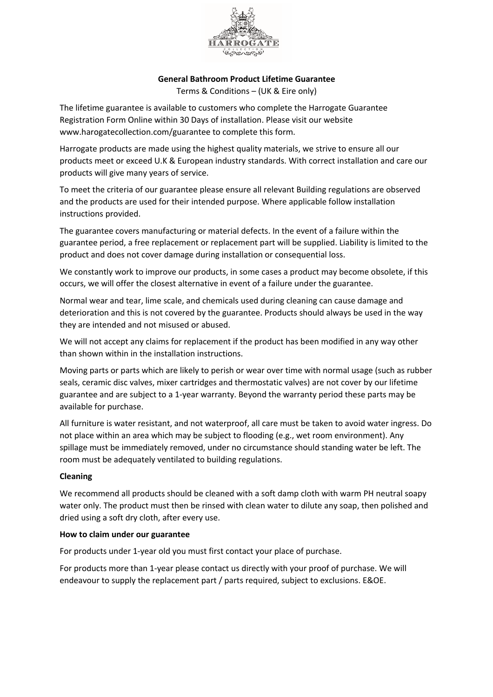

## **General Bathroom Product Lifetime Guarantee**

Terms & Conditions – (UK & Eire only)

The lifetime guarantee is available to customers who complete the Harrogate Guarantee Registration Form Online within 30 Days of installation. Please visit our website www.harogatecollection.com/guarantee to complete this form.

Harrogate products are made using the highest quality materials, we strive to ensure all our products meet or exceed U.K & European industry standards. With correct installation and care our products will give many years of service.

To meet the criteria of our guarantee please ensure all relevant Building regulations are observed and the products are used for their intended purpose. Where applicable follow installation instructions provided.

The guarantee covers manufacturing or material defects. In the event of a failure within the guarantee period, a free replacement or replacement part will be supplied. Liability is limited to the product and does not cover damage during installation or consequential loss.

We constantly work to improve our products, in some cases a product may become obsolete, if this occurs, we will offer the closest alternative in event of a failure under the guarantee.

Normal wear and tear, lime scale, and chemicals used during cleaning can cause damage and deterioration and this is not covered by the guarantee. Products should always be used in the way they are intended and not misused or abused.

We will not accept any claims for replacement if the product has been modified in any way other than shown within in the installation instructions.

Moving parts or parts which are likely to perish or wear over time with normal usage (such as rubber seals, ceramic disc valves, mixer cartridges and thermostatic valves) are not cover by our lifetime guarantee and are subject to a 1-year warranty. Beyond the warranty period these parts may be available for purchase.

All furniture is water resistant, and not waterproof, all care must be taken to avoid water ingress. Do not place within an area which may be subject to flooding (e.g., wet room environment). Any spillage must be immediately removed, under no circumstance should standing water be left. The room must be adequately ventilated to building regulations.

## **Cleaning**

We recommend all products should be cleaned with a soft damp cloth with warm PH neutral soapy water only. The product must then be rinsed with clean water to dilute any soap, then polished and dried using a soft dry cloth, after every use.

## **How to claim under our guarantee**

For products under 1-year old you must first contact your place of purchase.

For products more than 1-year please contact us directly with your proof of purchase. We will endeavour to supply the replacement part / parts required, subject to exclusions. E&OE.